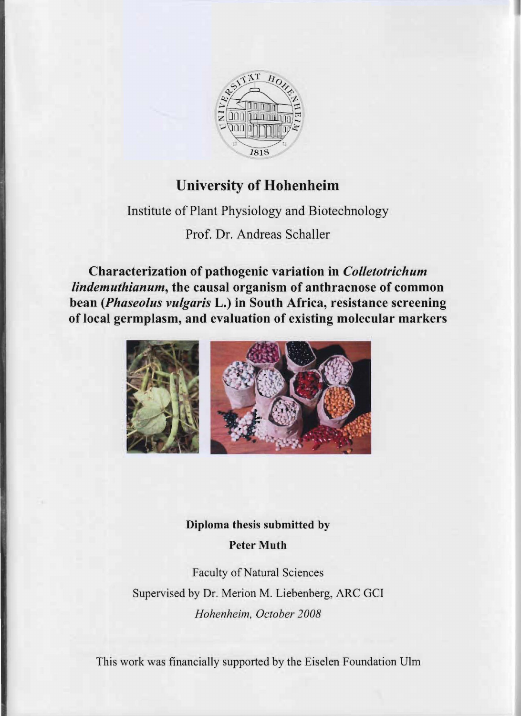

# **University of Hohenheim**

Institute of Plant Physiology and Biotechnology

Prof. Dr. Andreas Schaller

**Characterization of pathogenic variation in** *Colletotrichum lindemuthianum,* **the causal organism of anthracnose of common bean** *(Phaseolus vulgaris* **L.) in South Africa, resistance screening of local germplasm, and evaluation of existing molecular markers** 



# **Diploma thesis submitted by Peter Muth**

Faculty of Natural Sciences Supervised by Dr. Merion M. Liebenberg, ARC GCI *Hohenheim, Getober 2008* 

This work was financially supported by the Eiselen Foundation Ulm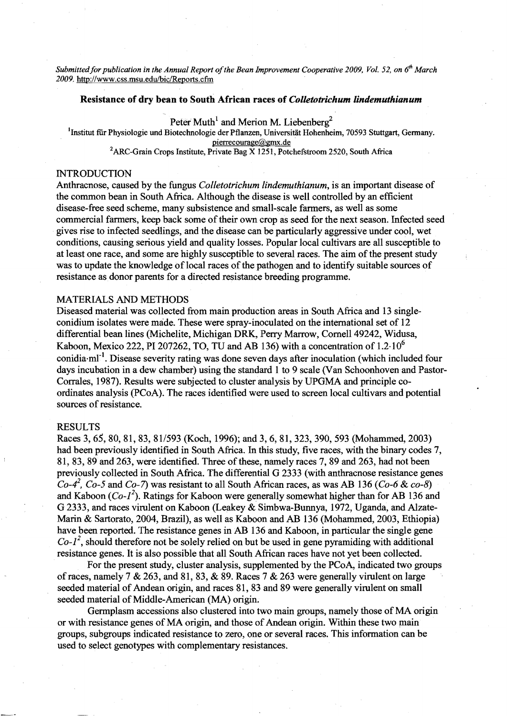*Submitted for publication in the Annual Report of the Bean Improvement Cooperative 2009, Vol. 52, on 6<sup>th</sup> March* 2009. http://www.css.msu.edu/bic/Reports.cfm

## **Resistance of dry hean to South African races of** *Colletotrichum lindemuthianum*

Peter Muth<sup>1</sup> and Merion M. Liebenberg<sup>2</sup>

<sup>1</sup>Institut für Physiologie und Biotechnologie der Pflanzen, Universität Hohenheim, 70593 Stuttgart, Germany. pierrecourage@gmx.de .

<sup>2</sup>ARC-Grain Crops Institute, Private Bag X 1251, Potchefstroom 2520, South Africa

#### INTRODUCTION

Anthracnose, caused by the fungus *Colletotrichum lindemuthianum,* is an important disease of the common bean in South Africa. Although the disease is weIl controlled by an efficient disease-free seed scheme, many subsistence and small-scale farmers, as well as some commercial farmers, keep back some of their own crop as seed for the next season. Infected seed gives rise to infeeted seedlings, and the disease can be particularly aggressive under cool, wet conditions, causing serious yield and quality losses. Popular local cultivars are all susceptible to at least one race, and some are highly susceptible to several races. The aim of the present study was to update the knowledge of local races of the pathogen and to identify suitable sources of resistance as donor parents for a directed resistance breeding programme.

#### MATERIALS AND METHODS

Diseased material was collected from main production areas in South Africa and 13 single conidium isolates were made. These were spray-inoculated on the international set of 12 differential bean lines (Michelite, Michigan DRK, Perry Marrow, Cornell 49242, Widusa, Kaboon, Mexico 222, PI 207262, TO, TU and AB 136) with a concentration of  $1.2 \cdot 10^6$ conidia·ml<sup>-1</sup>. Disease severity rating was done seven days after inoculation (which included four days incubation in a dew chamber) using the standard 1 to 9 scale (Van Schoonhoven and Pastor-Corrales, 1987). Results were subjected to cluster analysis by UPGMA and principle co ordinates analysis (PCoA). The races identified were used to screen local cultivars and potential sources of resistance.

#### RESULTS

Races 3, 65, 80, 81, 83, 81/593 (Koch, 1996); and 3, 6,81,323,390,593 (Mohammed, 2003) had been previously identified in South Africa. In this study, five races, with the binary codes 7, 81, 83, 89 and 263, were identified. Three of these, namely races 7, 89 and 263, had not been previously colleeted in South Africa. The differential G 2333 (with anthracnose resistance genes  $Co-4^2$ ,  $Co-5$  and  $Co-7$ ) was resistant to all South African races, as was AB 136 *(Co-6 & co-8)* and Kaboon *(Co-I<sup>1</sup> ).* Ratings for Kaboon were generally somewhat higher than for AB 136 and G 2333, and races virulent on Kaboon (Leakey & Simbwa-Bunnya, 1972, Uganda, and Alzate Marin & Sartorato, 2004, Brazil), as weIl as Kaboon and AB 136 (Mohammed, 2003, Ethiopia) have been reported. The resistance genes in AB 136 and Kaboon, in particular the single gene  $Co-I<sup>2</sup>$ , should therefore not be solely relied on but be used in gene pyramiding with additional resistance genes. It is also possible that all South African races have not yet been colleeted.

For the present study, cluster analysis, supplemented by the PCoA, indicated two groups of races, namely 7  $& 263$ , and 81, 83,  $& 89$ . Races 7  $& 263$  were generally virulent on large seeded material of Andean origin, and races 81, 83 and 89 were generally virulent on small seeded material of Middle-American (MA) origin.

Germplasm accessions also clustered into two main groups, namely those of MA origin or with resistance genes of MA origin, and those of Andean origin. Within these two main groups, subgroups indicated resistance to zero, one or several races. This information can be used to seleet genotypes with complementary resistances.